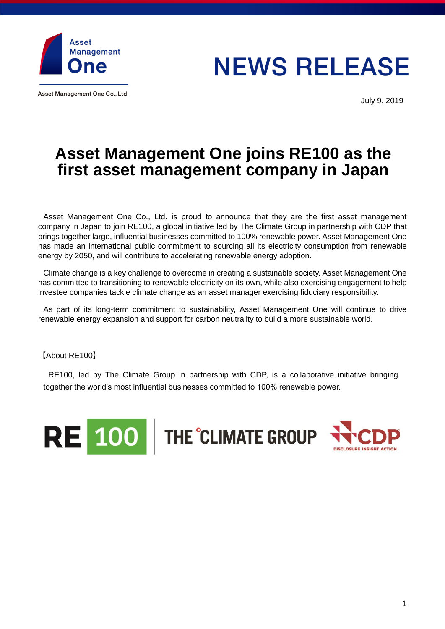

Asset Management One Co., Ltd.

**NEWS RELEASE** 

July 9, 2019

## **Asset Management One joins RE100 as the first asset management company in Japan**

Asset Management One Co., Ltd. is proud to announce that they are the first asset management company in Japan to join RE100, a global initiative led by The Climate Group in partnership with CDP that brings together large, influential businesses committed to 100% renewable power. Asset Management One has made an international public commitment to sourcing all its electricity consumption from renewable energy by 2050, and will contribute to accelerating renewable energy adoption.

Climate change is a key challenge to overcome in creating a sustainable society. Asset Management One has committed to transitioning to renewable electricity on its own, while also exercising engagement to help investee companies tackle climate change as an asset manager exercising fiduciary responsibility.

As part of its long-term commitment to sustainability, Asset Management One will continue to drive renewable energy expansion and support for carbon neutrality to build a more sustainable world.

【About RE100】

RE100, led by The Climate Group in partnership with CDP, is a collaborative initiative bringing together the world's most influential businesses committed to 100% renewable power.